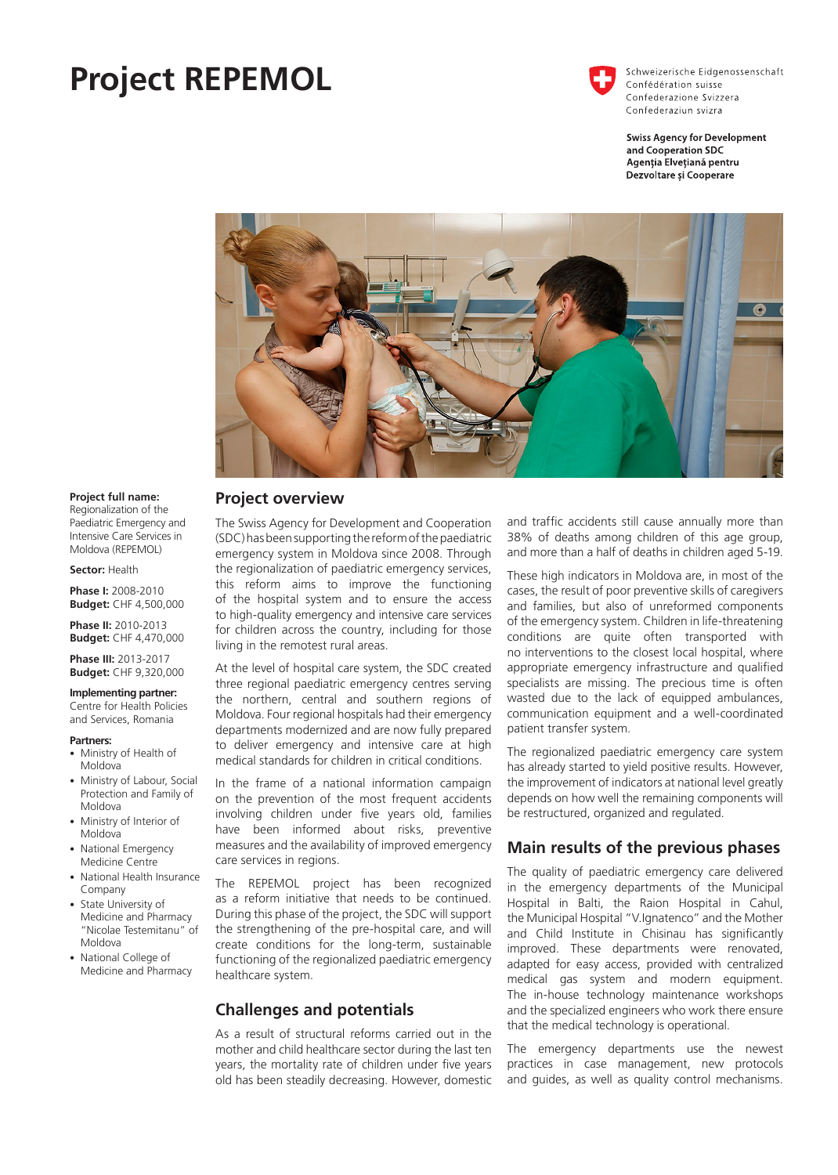# **Project REPEMOL**



Schweizerische Eidgenossenschaft Confédération suisse Confederazione Svizzera Confederaziun svizra

**Swiss Agency for Development** and Cooperation SDC Agenția Elvețiană pentru Dezvoltare și Cooperare



### **Project overview**

The Swiss Agency for Development and Cooperation (SDC) has been supporting the reform of the paediatric emergency system in Moldova since 2008. Through the regionalization of paediatric emergency services, this reform aims to improve the functioning of the hospital system and to ensure the access to high-quality emergency and intensive care services for children across the country, including for those living in the remotest rural areas.

At the level of hospital care system, the SDC created three regional paediatric emergency centres serving the northern, central and southern regions of Moldova. Four regional hospitals had their emergency departments modernized and are now fully prepared to deliver emergency and intensive care at high medical standards for children in critical conditions.

In the frame of a national information campaign on the prevention of the most frequent accidents involving children under five years old, families have been informed about risks, preventive measures and the availability of improved emergency care services in regions.

The REPEMOL project has been recognized as a reform initiative that needs to be continued. During this phase of the project, the SDC will support the strengthening of the pre-hospital care, and will create conditions for the long-term, sustainable functioning of the regionalized paediatric emergency healthcare system.

## **Challenges and potentials**

As a result of structural reforms carried out in the mother and child healthcare sector during the last ten years, the mortality rate of children under five years old has been steadily decreasing. However, domestic and traffic accidents still cause annually more than 38% of deaths among children of this age group, and more than a half of deaths in children aged 5-19.

These high indicators in Moldova are, in most of the cases, the result of poor preventive skills of caregivers and families, but also of unreformed components of the emergency system. Children in life-threatening conditions are quite often transported with no interventions to the closest local hospital, where appropriate emergency infrastructure and qualified specialists are missing. The precious time is often wasted due to the lack of equipped ambulances, communication equipment and a well-coordinated patient transfer system.

The regionalized paediatric emergency care system has already started to yield positive results. However, the improvement of indicators at national level greatly depends on how well the remaining components will be restructured, organized and regulated.

## **Main results of the previous phases**

The quality of paediatric emergency care delivered in the emergency departments of the Municipal Hospital in Balti, the Raion Hospital in Cahul, the Municipal Hospital "V.Ignatenco" and the Mother and Child Institute in Chisinau has significantly improved. These departments were renovated, adapted for easy access, provided with centralized medical gas system and modern equipment. The in-house technology maintenance workshops and the specialized engineers who work there ensure that the medical technology is operational.

The emergency departments use the newest practices in case management, new protocols and guides, as well as quality control mechanisms.

#### **Project full name:**

Regionalization of the Paediatric Emergency and Intensive Care Services in Moldova (REPEMOL)

**Sector:** Health

**Phase I:** 2008-2010 **Budget:** CHF 4,500,000

**Phase II:** 2010-2013 **Budget:** CHF 4,470,000

**Phase III:** 2013-2017 **Budget:** CHF 9,320,000

## **Implementing partner:**

Centre for Health Policies and Services, Romania

#### **Partners:**

- Ministry of Health of Moldova
- Ministry of Labour, Social Protection and Family of Moldova
- Ministry of Interior of Moldova
- National Emergency Medicine Centre
- National Health Insurance Company
- State University of Medicine and Pharmacy "Nicolae Testemitanu" of Moldova
- National College of Medicine and Pharmacy